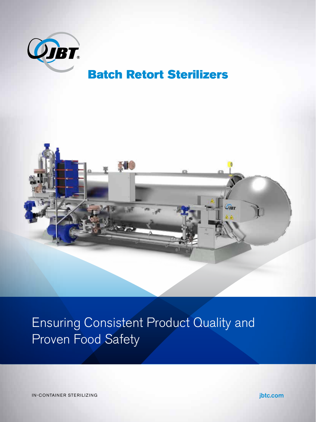

## Batch Retort Sterilizers



Ensuring Consistent Product Quality and Proven Food Safety

IN-CONTAINER STERILIZING **jbtc.com**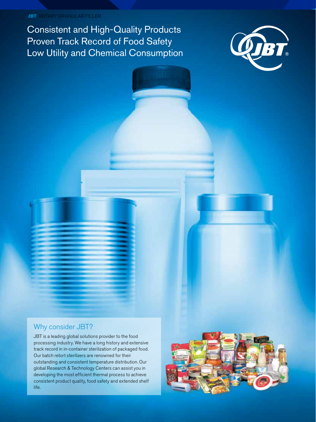#### **JBT** ROTARY GRANULAR FILLER

Consistent and High-Quality Products Proven Track Record of Food Safety Low Utility and Chemical Consumption



### Why consider JBT?

JBT is a leading global solutions provider to the food processing industry. We have a long history and extensive track record in in-container sterilization of packaged food. Our batch retort sterilizers are renowned for their outstanding and consistent temperature distribution. Our global Research & Technology Centers can assist you in developing the most efficient thermal process to achieve consistent product quality, food safety and extended shelf life.

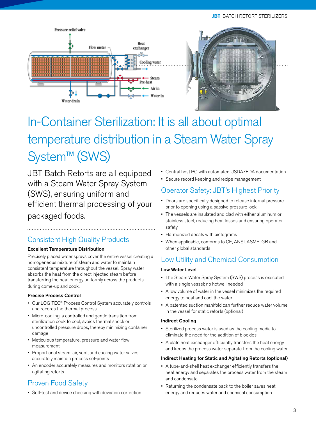#### **JBT** BATCH RETORT STERILIZERS





# In-Container Sterilization: It is all about optimal temperature distribution in a Steam Water Spray System™ (SWS)

JBT Batch Retorts are all equipped with a Steam Water Spray System (SWS), ensuring uniform and efficient thermal processing of your packaged foods.

## Consistent High Quality Products

#### Excellent Temperature Distribution

Precisely placed water sprays cover the entire vessel creating a homogeneous mixture of steam and water to maintain consistent temperature throughout the vessel. Spray water absorbs the heat from the direct injected steam before transferring the heat energy uniformly across the products during come-up and cook.

#### Precise Process Control

- Our LOG-TEC® Process Control System accurately controls and records the thermal process
- Micro-cooling, a controlled and gentle transition from sterilization cook to cool, avoids thermal shock or uncontrolled pressure drops, thereby minimizing container damage
- Meticulous temperature, pressure and water flow measurement
- Proportional steam, air, vent, and cooling water valves accurately maintain process set-points
- An encoder accurately measures and monitors rotation on agitating retorts

## Proven Food Safety

• Self-test and device checking with deviation correction

- Central host PC with automated USDA/FDA documentation
- Secure record keeping and recipe management

## Operator Safety: JBT's Highest Priority

- Doors are specifically designed to release internal pressure prior to opening using a passive pressure lock
- The vessels are insulated and clad with either aluminum or stainless steel, reducing heat losses and ensuring operator safety
- Harmonized decals with pictograms
- When applicable, conforms to CE, ANSI, ASME, GB and other global standards

## Low Utility and Chemical Consumption

#### Low Water Level

- The Steam Water Spray System (SWS) process is executed with a single vessel; no hotwell needed
- A low volume of water in the vessel minimizes the required energy to heat and cool the water
- A patented suction manifold can further reduce water volume in the vessel for static retorts (optional)

#### Indirect Cooling

- Sterilized process water is used as the cooling media to eliminate the need for the addition of biocides
- A plate heat exchanger efficiently transfers the heat energy and keeps the process water separate from the cooling water

#### Indirect Heating for Static and Agitating Retorts (optional)

- A tube-and-shell heat exchanger efficiently transfers the heat energy and separates the process water from the steam and condensate
- Returning the condensate back to the boiler saves heat energy and reduces water and chemical consumption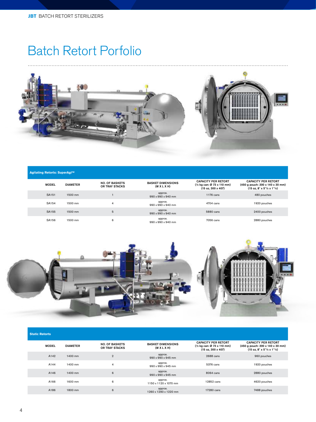## Batch Retort Porfolio



| Agitating Retorts: SuperAgi™ |                 |                                         |                                         |                                                                                 |                                                                                                               |  |
|------------------------------|-----------------|-----------------------------------------|-----------------------------------------|---------------------------------------------------------------------------------|---------------------------------------------------------------------------------------------------------------|--|
| <b>MODEL</b>                 | <b>DIAMETER</b> | <b>NO. OF BASKETS</b><br>OR TRAY STACKS | <b>BASKET DIMENSIONS</b><br>(W X L X H) | <b>CAPACITY PER RETORT</b><br>(1/2 kg can: Ø 73 x 110 mm)<br>(15 oz, 300 x 407) | <b>CAPACITY PER RETORT</b><br>$(450 g$ pouch: 200 x 140 x 30 mm)<br>$(15 oz, 8" x 5"$ /2 x 1" $\frac{1}{4}$ ) |  |
| SA151                        | 1500 mm         |                                         | approx.<br>990 x 990 x 940 mm           | 1176 cans                                                                       | 480 pouches                                                                                                   |  |
| SA154                        | 1500 mm         | $\overline{4}$                          | approx.<br>990 x 990 x 940 mm           | 4704 cans                                                                       | 1920 pouches                                                                                                  |  |
| SA155                        | 1500 mm         | 5                                       | approx.<br>990 x 990 x 940 mm           | 5880 cans                                                                       | 2400 pouches                                                                                                  |  |
| SA156                        | 1500 mm         | 6                                       | approx.<br>990 x 990 x 940 mm           | 7056 cans                                                                       | 2880 pouches                                                                                                  |  |



| <b>Static Retorts</b> |                 |                                         |                                         |                                                                                 |                                                                                                             |  |
|-----------------------|-----------------|-----------------------------------------|-----------------------------------------|---------------------------------------------------------------------------------|-------------------------------------------------------------------------------------------------------------|--|
| <b>MODEL</b>          | <b>DIAMETER</b> | <b>NO. OF BASKETS</b><br>OR TRAY STACKS | <b>BASKET DIMENSIONS</b><br>(W X L X H) | <b>CAPACITY PER RETORT</b><br>(1/2 kg can: Ø 73 x 110 mm)<br>(15 oz, 300 x 407) | <b>CAPACITY PER RETORT</b><br>(450 g pouch: 200 x 140 x 30 mm)<br>$(15 oz, 8" x 5"$ /2 x 1" $\frac{1}{4}$ ) |  |
| A142                  | 1400 mm         | $\overline{2}$                          | approx.<br>990 x 990 x 945 mm           | 2688 cans                                                                       | 960 pouches                                                                                                 |  |
| A144                  | 1400 mm         | 4                                       | approx.<br>990 x 990 x 945 mm           | 5376 cans                                                                       | 1920 pouches                                                                                                |  |
| A146                  | 1400 mm         | 6                                       | approx.<br>990 x 990 x 945 mm           | 8064 cans                                                                       | 2880 pouches                                                                                                |  |
| A166                  | 1600 mm         | 6                                       | approx.<br>1150 x 1120 x 1070 mm        | 12852 cans                                                                      | 4620 pouches                                                                                                |  |
| A186                  | 1800 mm         | 6                                       | approx.<br>1260 x 1290 x 1220 mm        | 17280 cans                                                                      | 7488 pouches                                                                                                |  |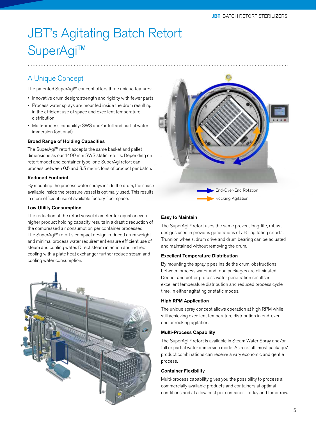# JBT's Agitating Batch Retort SuperAgi™

## A Unique Concept

The patented SuperAgi™ concept offers three unique features:

- Innovative drum design: strength and rigidity with fewer parts
- Process water sprays are mounted inside the drum resulting in the efficient use of space and excellent temperature distribution
- Multi-process capability: SWS and/or full and partial water immersion (optional)

#### Broad Range of Holding Capacities

The SuperAgi™ retort accepts the same basket and pallet dimensions as our 1400 mm SWS static retorts. Depending on retort model and container type, one SuperAgi retort can process between 0.5 and 3.5 metric tons of product per batch.

#### Reduced Footprint

By mounting the process water sprays inside the drum, the space available inside the pressure vessel is optimally used. This results in more efficient use of available factory floor space.

#### Low Utility Consumption

The reduction of the retort vessel diameter for equal or even higher product holding capacity results in a drastic reduction of the compressed air consumption per container processed. The SuperAgi™ retort's compact design, reduced drum weight and minimal process water requirement ensure efficient use of steam and cooling water. Direct steam injection and indirect cooling with a plate heat exchanger further reduce steam and cooling water consumption.





#### Easy to Maintain

The SuperAgi™ retort uses the same proven, long-life, robust designs used in previous generations of JBT agitating retorts. Trunnion wheels, drum drive and drum bearing can be adjusted and maintained without removing the drum.

#### Excellent Temperature Distribution

By mounting the spray pipes inside the drum, obstructions between process water and food packages are eliminated. Deeper and better process water penetration results in excellent temperature distribution and reduced process cycle time, in either agitating or static modes.

#### High RPM Application

The unique spray concept allows operation at high RPM while still achieving excellent temperature distribution in end-overend or rocking agitation.

#### Multi-Process Capability

The SuperAgi™ retort is available in Steam Water Spray and/or full or partial water immersion mode. As a result, most package/ product combinations can receive a vary economic and gentle process.

#### Container Flexibility

Multi-process capability gives you the possibility to process all commercially available products and containers at optimal conditions and at a low cost per container... today and tomorrow.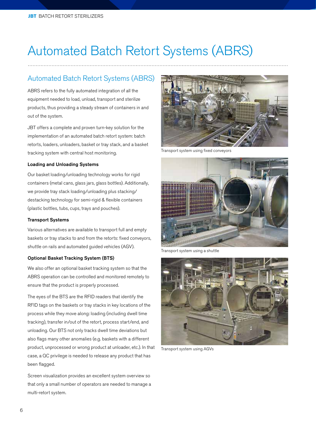# Automated Batch Retort Systems (ABRS)

### Automated Batch Retort Systems (ABRS)

ABRS refers to the fully automated integration of all the equipment needed to load, unload, transport and sterilize products, thus providing a steady stream of containers in and out of the system.

JBT offers a complete and proven turn-key solution for the implementation of an automated batch retort system: batch retorts, loaders, unloaders, basket or tray stack, and a basket tracking system with central host monitoring.

#### Loading and Unloading Systems

Our basket loading/unloading technology works for rigid containers (metal cans, glass jars, glass bottles). Additionally, we provide tray stack loading/unloading plus stacking/ destacking technology for semi-rigid & flexible containers (plastic bottles, tubs, cups, trays and pouches).

#### Transport Systems

Various alternatives are available to transport full and empty baskets or tray stacks to and from the retorts: fixed conveyors, shuttle on rails and automated guided vehicles (AGV).

#### Optional Basket Tracking System (BTS)

We also offer an optional basket tracking system so that the ABRS operation can be controlled and monitored remotely to ensure that the product is properly processed.

The eyes of the BTS are the RFID readers that identify the RFID tags on the baskets or tray stacks in key locations of the process while they move along: loading (including dwell time tracking), transfer in/out of the retort, process start/end, and unloading. Our BTS not only tracks dwell time deviations but also flags many other anomalies (e.g. baskets with a different product, unprocessed or wrong product at unloader, etc.). In that case, a QC privilege is needed to release any product that has been flagged.

Screen visualization provides an excellent system overview so that only a small number of operators are needed to manage a multi-retort system.



Transport system using fixed conveyors



Transport system using a shuttle



Transport system using AGVs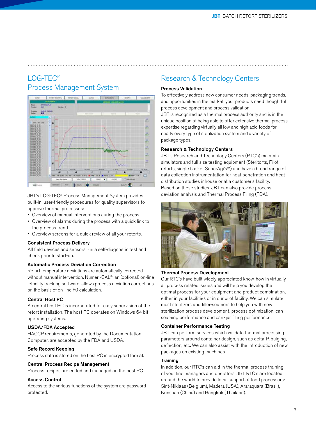## LOG-TEC® Process Management System



JBT's LOG-TEC® Process Management System provides built-in, user-friendly procedures for quality supervisors to approve thermal processes:

- Overview of manual interventions during the process
- Overview of alarms during the process with a quick link to the process trend
- Overview screens for a quick review of all your retorts.

#### Consistent Process Delivery

All field devices and sensors run a self-diagnostic test and check prior to start-up.

#### Automatic Process Deviation Correction

Retort temperature deviations are automatically corrected without manual intervention. Numeri-CAL®, an (optional) on-line lethality tracking software, allows process deviation corrections on the basis of on-line F0 calculation.

#### Central Host PC

A central host PC is incorporated for easy supervision of the retort installation. The host PC operates on Windows 64 bit operating systems.

#### USDA/FDA Accepted

HACCP requirements, generated by the Documentation Computer, are accepted by the FDA and USDA.

#### Safe Record Keeping

Process data is stored on the host PC in encrypted format.

#### Central Process Recipe Management

Process recipes are edited and managed on the host PC.

#### Access Control

Access to the various functions of the system are password protected.

## Research & Technology Centers

#### Process Validation

To effectively address new consumer needs, packaging trends, and opportunities in the market, your products need thoughtful process development and process validation. JBT is recognized as a thermal process authority and is in the unique position of being able to offer extensive thermal process expertise regarding virtually all low and high acid foods for

nearly every type of sterilization system and a variety of package types.

#### Research & Technology Centers

JBT's Research and Technology Centers (RTC's) maintain simulators and full size testing equipment (Steritorts, Pilot retorts, single basket SuperAgi's™) and have a broad range of data collection instrumentation for heat penetration and heat distribution studies inhouse or at a customer's facility. Based on these studies, JBT can also provide process deviation analysis and Thermal Process Filing (FDA).



#### Thermal Process Development

Our RTC's have built widely appreciated know-how in virtually all process related issues and will help you develop the optimal process for your equipment and product combination, either in your facilities or in our pilot facility. We can simulate most sterilizers and filler-seamers to help you with new sterilization process development, process optimization, can seaming performance and can/jar filling performance.

#### Container Performance Testing

JBT can perform services which validate thermal processing parameters around container design, such as delta-P, bulging, deflection, etc. We can also assist with the introduction of new packages on existing machines.

#### **Training**

In addition, our RTC's can aid in the thermal process training of your line managers and operators. JBT RTC's are located around the world to provide local support of food processors: Sint-Niklaas (Belgium), Madera (USA), Araraquara (Brazil), Kunshan (China) and Bangkok (Thailand).